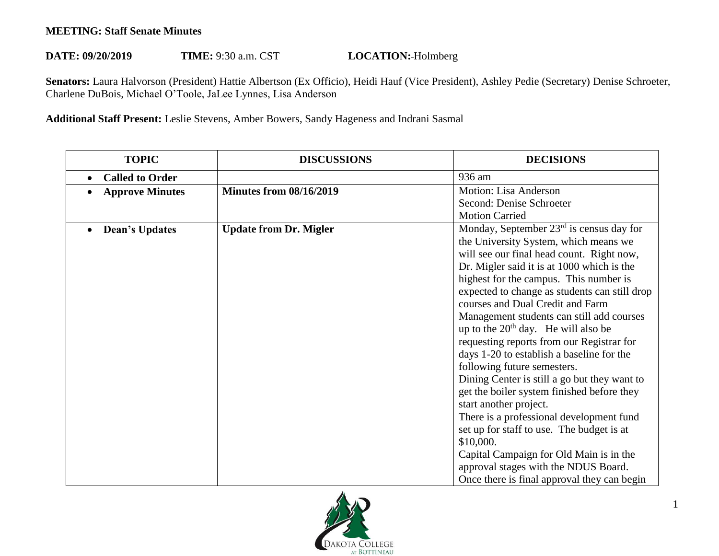## **MEETING: Staff Senate Minutes**

## **DATE: 09/20/2019 TIME:** 9:30 a.m. CST **LOCATION:** Holmberg

**Senators:** Laura Halvorson (President) Hattie Albertson (Ex Officio), Heidi Hauf (Vice President), Ashley Pedie (Secretary) Denise Schroeter, Charlene DuBois, Michael O'Toole, JaLee Lynnes, Lisa Anderson

**Additional Staff Present:** Leslie Stevens, Amber Bowers, Sandy Hageness and Indrani Sasmal

| <b>TOPIC</b>           | <b>DISCUSSIONS</b>             | <b>DECISIONS</b>                              |
|------------------------|--------------------------------|-----------------------------------------------|
| <b>Called to Order</b> |                                | 936 am                                        |
| <b>Approve Minutes</b> | <b>Minutes from 08/16/2019</b> | <b>Motion: Lisa Anderson</b>                  |
|                        |                                | Second: Denise Schroeter                      |
|                        |                                | <b>Motion Carried</b>                         |
| <b>Dean's Updates</b>  | <b>Update from Dr. Migler</b>  | Monday, September $23rd$ is census day for    |
|                        |                                | the University System, which means we         |
|                        |                                | will see our final head count. Right now,     |
|                        |                                | Dr. Migler said it is at 1000 which is the    |
|                        |                                | highest for the campus. This number is        |
|                        |                                | expected to change as students can still drop |
|                        |                                | courses and Dual Credit and Farm              |
|                        |                                | Management students can still add courses     |
|                        |                                | up to the $20th$ day. He will also be         |
|                        |                                | requesting reports from our Registrar for     |
|                        |                                | days 1-20 to establish a baseline for the     |
|                        |                                | following future semesters.                   |
|                        |                                | Dining Center is still a go but they want to  |
|                        |                                | get the boiler system finished before they    |
|                        |                                | start another project.                        |
|                        |                                | There is a professional development fund      |
|                        |                                | set up for staff to use. The budget is at     |
|                        |                                | \$10,000.                                     |
|                        |                                | Capital Campaign for Old Main is in the       |
|                        |                                | approval stages with the NDUS Board.          |
|                        |                                | Once there is final approval they can begin   |

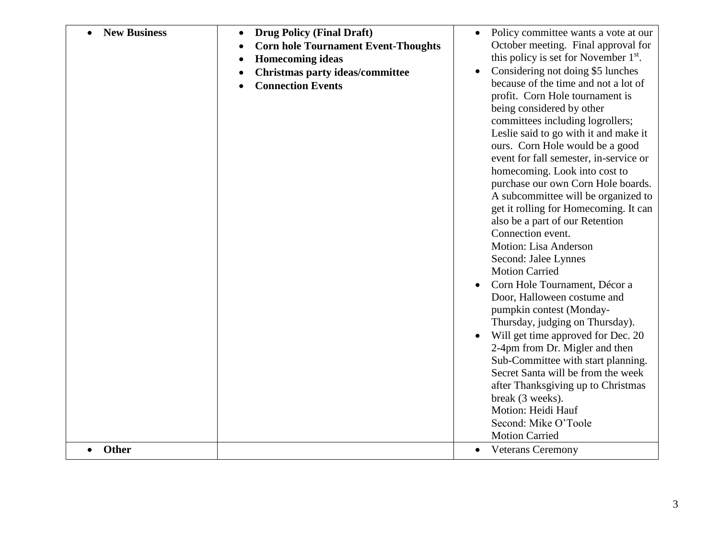| <b>New Business</b><br>Other | <b>Drug Policy (Final Draft)</b><br><b>Corn hole Tournament Event-Thoughts</b><br><b>Homecoming ideas</b><br>Christmas party ideas/committee<br><b>Connection Events</b> | Policy committee wants a vote at our<br>October meeting. Final approval for<br>this policy is set for November 1 <sup>st</sup> .<br>Considering not doing \$5 lunches<br>because of the time and not a lot of<br>profit. Corn Hole tournament is<br>being considered by other<br>committees including logrollers;<br>Leslie said to go with it and make it<br>ours. Corn Hole would be a good<br>event for fall semester, in-service or<br>homecoming. Look into cost to<br>purchase our own Corn Hole boards.<br>A subcommittee will be organized to<br>get it rolling for Homecoming. It can<br>also be a part of our Retention<br>Connection event.<br>Motion: Lisa Anderson<br>Second: Jalee Lynnes<br><b>Motion Carried</b><br>Corn Hole Tournament, Décor a<br>Door, Halloween costume and<br>pumpkin contest (Monday-<br>Thursday, judging on Thursday).<br>Will get time approved for Dec. 20<br>2-4pm from Dr. Migler and then<br>Sub-Committee with start planning.<br>Secret Santa will be from the week<br>after Thanksgiving up to Christmas<br>break (3 weeks).<br>Motion: Heidi Hauf<br>Second: Mike O'Toole<br><b>Motion Carried</b><br><b>Veterans Ceremony</b> |
|------------------------------|--------------------------------------------------------------------------------------------------------------------------------------------------------------------------|----------------------------------------------------------------------------------------------------------------------------------------------------------------------------------------------------------------------------------------------------------------------------------------------------------------------------------------------------------------------------------------------------------------------------------------------------------------------------------------------------------------------------------------------------------------------------------------------------------------------------------------------------------------------------------------------------------------------------------------------------------------------------------------------------------------------------------------------------------------------------------------------------------------------------------------------------------------------------------------------------------------------------------------------------------------------------------------------------------------------------------------------------------------------------------|
|------------------------------|--------------------------------------------------------------------------------------------------------------------------------------------------------------------------|----------------------------------------------------------------------------------------------------------------------------------------------------------------------------------------------------------------------------------------------------------------------------------------------------------------------------------------------------------------------------------------------------------------------------------------------------------------------------------------------------------------------------------------------------------------------------------------------------------------------------------------------------------------------------------------------------------------------------------------------------------------------------------------------------------------------------------------------------------------------------------------------------------------------------------------------------------------------------------------------------------------------------------------------------------------------------------------------------------------------------------------------------------------------------------|